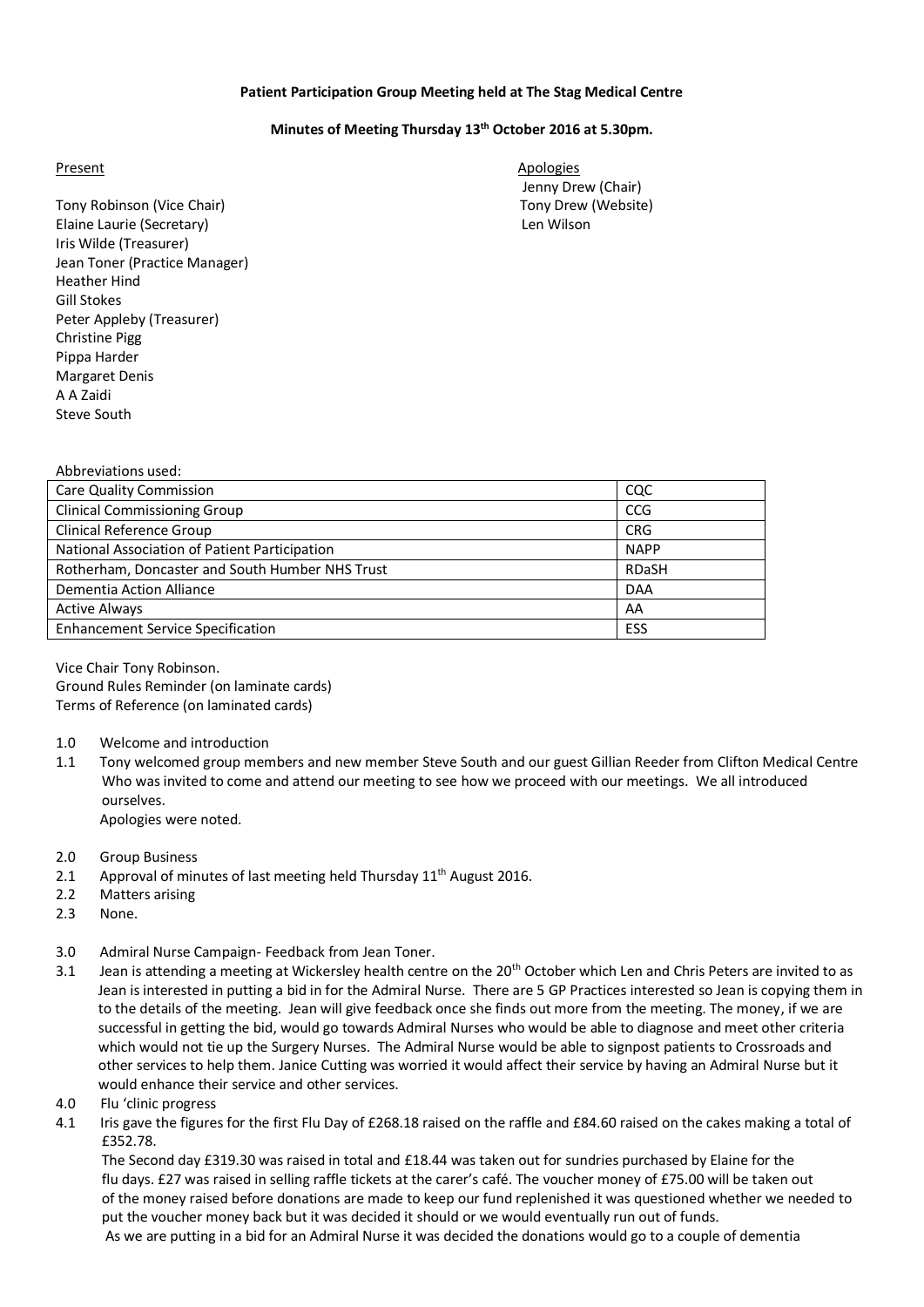### **Patient Participation Group Meeting held at The Stag Medical Centre**

### **Minutes of Meeting Thursday 13th October 2016 at 5.30pm.**

Tony Robinson (Vice Chair) Tony Drew (Website) Elaine Laurie (Secretary) Len Wilson Iris Wilde (Treasurer) Jean Toner (Practice Manager) Heather Hind Gill Stokes Peter Appleby (Treasurer) Christine Pigg Pippa Harder Margaret Denis A A Zaidi Steve South

Present Apologies Apologies Jenny Drew (Chair)

| Abbreviations used:                             |             |
|-------------------------------------------------|-------------|
| <b>Care Quality Commission</b>                  | cac         |
| <b>Clinical Commissioning Group</b>             | <b>CCG</b>  |
| <b>Clinical Reference Group</b>                 | <b>CRG</b>  |
| National Association of Patient Participation   | <b>NAPP</b> |
| Rotherham, Doncaster and South Humber NHS Trust | RDaSH       |
| Dementia Action Alliance                        | <b>DAA</b>  |
| <b>Active Always</b>                            | AA          |
| <b>Enhancement Service Specification</b>        | ESS         |
|                                                 |             |

Vice Chair Tony Robinson. Ground Rules Reminder (on laminate cards) Terms of Reference (on laminated cards)

- 1.0 Welcome and introduction
- 1.1 Tony welcomed group members and new member Steve South and our guest Gillian Reeder from Clifton Medical Centre Who was invited to come and attend our meeting to see how we proceed with our meetings. We all introduced ourselves. Apologies were noted.
- 2.0 Group Business
- 2.1 Approval of minutes of last meeting held Thursday  $11<sup>th</sup>$  August 2016.
- 2.2 Matters arising
- 2.3 None.
- 3.0 Admiral Nurse Campaign- Feedback from Jean Toner.
- 3.1 Jean is attending a meeting at Wickersley health centre on the  $20<sup>th</sup>$  October which Len and Chris Peters are invited to as Jean is interested in putting a bid in for the Admiral Nurse. There are 5 GP Practices interested so Jean is copying them in to the details of the meeting. Jean will give feedback once she finds out more from the meeting. The money, if we are successful in getting the bid, would go towards Admiral Nurses who would be able to diagnose and meet other criteria which would not tie up the Surgery Nurses. The Admiral Nurse would be able to signpost patients to Crossroads and other services to help them. Janice Cutting was worried it would affect their service by having an Admiral Nurse but it would enhance their service and other services.
- 4.0 Flu 'clinic progress
- 4.1 Iris gave the figures for the first Flu Day of £268.18 raised on the raffle and £84.60 raised on the cakes making a total of £352.78.

 The Second day £319.30 was raised in total and £18.44 was taken out for sundries purchased by Elaine for the flu days. £27 was raised in selling raffle tickets at the carer's café. The voucher money of £75.00 will be taken out of the money raised before donations are made to keep our fund replenished it was questioned whether we needed to put the voucher money back but it was decided it should or we would eventually run out of funds.

As we are putting in a bid for an Admiral Nurse it was decided the donations would go to a couple of dementia